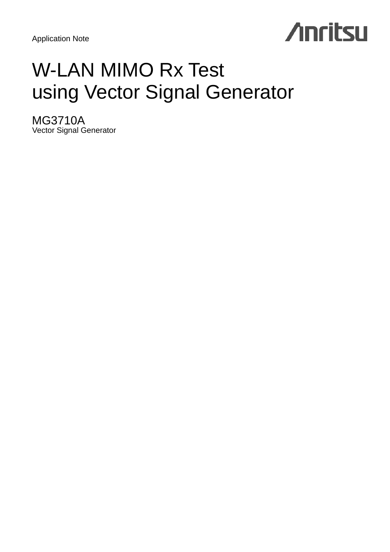Application Note

# **Anritsu**

## W-LAN MIMO Rx Test using Vector Signal Generator

MG3710A Vector Signal Generator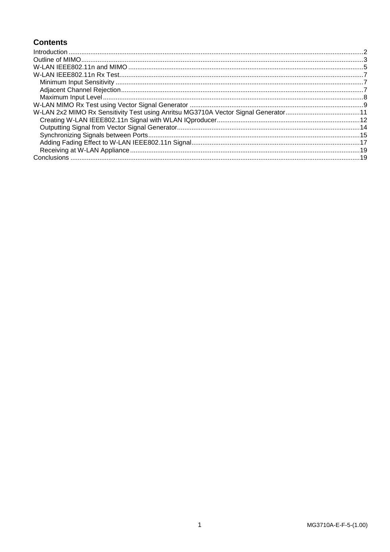## **Contents**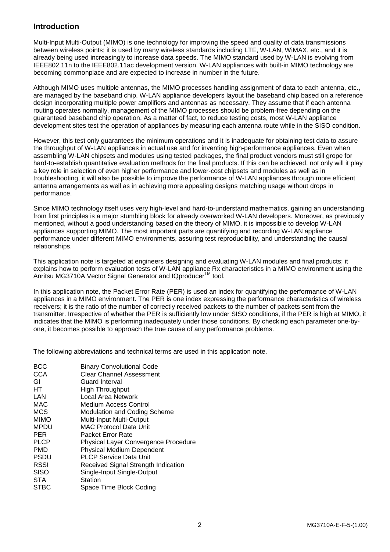## <span id="page-2-0"></span>**Introduction**

Multi-Input Multi-Output (MIMO) is one technology for improving the speed and quality of data transmissions between wireless points; it is used by many wireless standards including LTE, W-LAN, WiMAX, etc., and it is already being used increasingly to increase data speeds. The MIMO standard used by W-LAN is evolving from IEEE802.11n to the IEEE802.11ac development version. W-LAN appliances with built-in MIMO technology are becoming commonplace and are expected to increase in number in the future.

Although MIMO uses multiple antennas, the MIMO processes handling assignment of data to each antenna, etc., are managed by the baseband chip. W-LAN appliance developers layout the baseband chip based on a reference design incorporating multiple power amplifiers and antennas as necessary. They assume that if each antenna routing operates normally, management of the MIMO processes should be problem-free depending on the guaranteed baseband chip operation. As a matter of fact, to reduce testing costs, most W-LAN appliance development sites test the operation of appliances by measuring each antenna route while in the SISO condition.

However, this test only guarantees the minimum operations and it is inadequate for obtaining test data to assure the throughput of W-LAN appliances in actual use and for inventing high-performance appliances. Even when assembling W-LAN chipsets and modules using tested packages, the final product vendors must still grope for hard-to-establish quantitative evaluation methods for the final products. If this can be achieved, not only will it play a key role in selection of even higher performance and lower-cost chipsets and modules as well as in troubleshooting, it will also be possible to improve the performance of W-LAN appliances through more efficient antenna arrangements as well as in achieving more appealing designs matching usage without drops in performance.

Since MIMO technology itself uses very high-level and hard-to-understand mathematics, gaining an understanding from first principles is a major stumbling block for already overworked W-LAN developers. Moreover, as previously mentioned, without a good understanding based on the theory of MIMO, it is impossible to develop W-LAN appliances supporting MIMO. The most important parts are quantifying and recording W-LAN appliance performance under different MIMO environments, assuring test reproducibility, and understanding the causal relationships.

This application note is targeted at engineers designing and evaluating W-LAN modules and final products; it explains how to perform evaluation tests of W-LAN appliance Rx characteristics in a MIMO environment using the Anritsu MG3710A Vector Signal Generator and IQproducer™ tool.

In this application note, the Packet Error Rate (PER) is used an index for quantifying the performance of W-LAN appliances in a MIMO environment. The PER is one index expressing the performance characteristics of wireless receivers; it is the ratio of the number of correctly received packets to the number of packets sent from the transmitter. Irrespective of whether the PER is sufficiently low under SISO conditions, if the PER is high at MIMO, it indicates that the MIMO is performing inadequately under those conditions. By checking each parameter one-byone, it becomes possible to approach the true cause of any performance problems.

The following abbreviations and technical terms are used in this application note.

| <b>BCC</b>  | <b>Binary Convolutional Code</b>     |
|-------------|--------------------------------------|
| <b>CCA</b>  | <b>Clear Channel Assessment</b>      |
| GI          | Guard Interval                       |
| HТ          | <b>High Throughput</b>               |
| LAN         | Local Area Network                   |
| <b>MAC</b>  | Medium Access Control                |
| <b>MCS</b>  | <b>Modulation and Coding Scheme</b>  |
| <b>MIMO</b> | Multi-Input Multi-Output             |
| <b>MPDU</b> | MAC Protocol Data Unit               |
| <b>PER</b>  | Packet Error Rate                    |
| <b>PLCP</b> | Physical Layer Convergence Procedure |
| PMD         | <b>Physical Medium Dependent</b>     |
| <b>PSDU</b> | <b>PLCP Service Data Unit</b>        |
| <b>RSSI</b> | Received Signal Strength Indication  |
| <b>SISO</b> | Single-Input Single-Output           |
| <b>STA</b>  | Station                              |
| <b>STBC</b> | Space Time Block Coding              |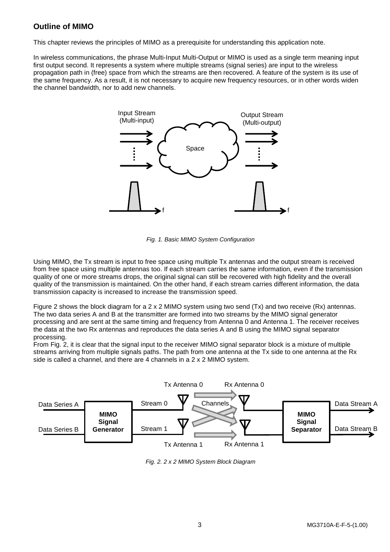## <span id="page-3-0"></span>**Outline of MIMO**

This chapter reviews the principles of MIMO as a prerequisite for understanding this application note.

In wireless communications, the phrase Multi-Input Multi-Output or MIMO is used as a single term meaning input first output second. It represents a system where multiple streams (signal series) are input to the wireless propagation path in (free) space from which the streams are then recovered. A feature of the system is its use of the same frequency. As a result, it is not necessary to acquire new frequency resources, or in other words widen the channel bandwidth, nor to add new channels.



*Fig. 1. Basic MIMO System Configuration*

Using MIMO, the Tx stream is input to free space using multiple Tx antennas and the output stream is received from free space using multiple antennas too. If each stream carries the same information, even if the transmission quality of one or more streams drops, the original signal can still be recovered with high fidelity and the overall quality of the transmission is maintained. On the other hand, if each stream carries different information, the data transmission capacity is increased to increase the transmission speed.

Figure 2 shows the block diagram for a 2 x 2 MIMO system using two send (Tx) and two receive (Rx) antennas. The two data series A and B at the transmitter are formed into two streams by the MIMO signal generator processing and are sent at the same timing and frequency from Antenna 0 and Antenna 1. The receiver receives the data at the two Rx antennas and reproduces the data series A and B using the MIMO signal separator processing.

From Fig. 2, it is clear that the signal input to the receiver MIMO signal separator block is a mixture of multiple streams arriving from multiple signals paths. The path from one antenna at the Tx side to one antenna at the Rx side is called a channel, and there are 4 channels in a 2 x 2 MIMO system.



*Fig. 2. 2 x 2 MIMO System Block Diagram*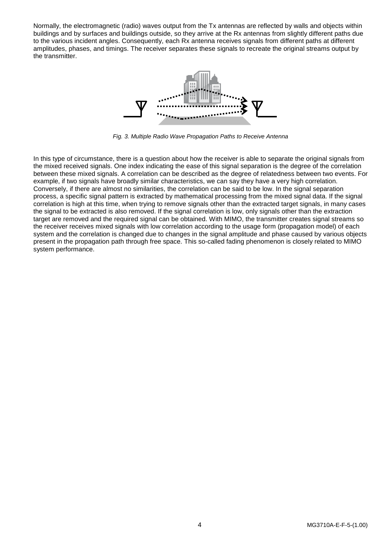Normally, the electromagnetic (radio) waves output from the Tx antennas are reflected by walls and objects within buildings and by surfaces and buildings outside, so they arrive at the Rx antennas from slightly different paths due to the various incident angles. Consequently, each Rx antenna receives signals from different paths at different amplitudes, phases, and timings. The receiver separates these signals to recreate the original streams output by the transmitter.



*Fig. 3. Multiple Radio Wave Propagation Paths to Receive Antenna*

In this type of circumstance, there is a question about how the receiver is able to separate the original signals from the mixed received signals. One index indicating the ease of this signal separation is the degree of the correlation between these mixed signals. A correlation can be described as the degree of relatedness between two events. For example, if two signals have broadly similar characteristics, we can say they have a very high correlation. Conversely, if there are almost no similarities, the correlation can be said to be low. In the signal separation process, a specific signal pattern is extracted by mathematical processing from the mixed signal data. If the signal correlation is high at this time, when trying to remove signals other than the extracted target signals, in many cases the signal to be extracted is also removed. If the signal correlation is low, only signals other than the extraction target are removed and the required signal can be obtained. With MIMO, the transmitter creates signal streams so the receiver receives mixed signals with low correlation according to the usage form (propagation model) of each system and the correlation is changed due to changes in the signal amplitude and phase caused by various objects present in the propagation path through free space. This so-called fading phenomenon is closely related to MIMO system performance.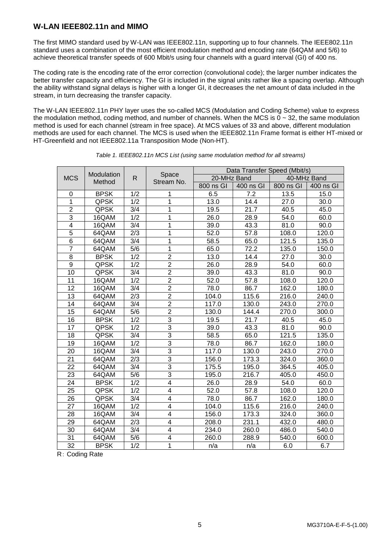## <span id="page-5-0"></span>**W-LAN IEEE802.11n and MIMO**

The first MIMO standard used by W-LAN was IEEE802.11n, supporting up to four channels. The IEEE802.11n standard uses a combination of the most efficient modulation method and encoding rate (64QAM and 5/6) to achieve theoretical transfer speeds of 600 Mbit/s using four channels with a guard interval (GI) of 400 ns.

The coding rate is the encoding rate of the error correction (convolutional code); the larger number indicates the better transfer capacity and efficiency. The GI is included in the signal units rather like a spacing overlap. Although the ability withstand signal delays is higher with a longer GI, it decreases the net amount of data included in the stream, in turn decreasing the transfer capacity.

The W-LAN IEEE802.11n PHY layer uses the so-called MCS (Modulation and Coding Scheme) value to express the modulation method, coding method, and number of channels. When the MCS is  $0 \sim 32$ , the same modulation method is used for each channel (stream in free space). At MCS values of 33 and above, different modulation methods are used for each channel. The MCS is used when the IEEE802.11n Frame format is either HT-mixed or HT-Greenfield and not IEEE802.11a Transposition Mode (Non-HT).

|                  |             |                  | Data Transfer Speed (Mbit/s) |             |                  |           |             |
|------------------|-------------|------------------|------------------------------|-------------|------------------|-----------|-------------|
| <b>MCS</b>       | Modulation  | R                | Space                        | 20-MHz Band |                  |           | 40-MHz Band |
|                  | Method      |                  | Stream No.                   | 800 ns GI   | 400 ns GI        | 800 ns GI | 400 ns GI   |
| 0                | <b>BPSK</b> | 1/2              | 1                            | 6.5         | $\overline{7.2}$ | 13.5      | 15.0        |
| 1                | <b>QPSK</b> | 1/2              | 1                            | 13.0        | 14.4             | 27.0      | 30.0        |
| $\overline{2}$   | QPSK        | $\overline{3/4}$ | 1                            | 19.5        | 21.7             | 40.5      | 45.0        |
| $\overline{3}$   | 16QAM       | $\overline{1/2}$ | 1                            | 26.0        | 28.9             | 54.0      | 60.0        |
| $\overline{4}$   | 16QAM       | $\overline{3/4}$ | 1                            | 39.0        | 43.3             | 81.0      | 90.0        |
| 5                | 64QAM       | 2/3              | 1                            | 52.0        | 57.8             | 108.0     | 120.0       |
| $\overline{6}$   | 64QAM       | 3/4              | 1                            | 58.5        | 65.0             | 121.5     | 135.0       |
| $\overline{7}$   | 64QAM       | 5/6              | 1                            | 65.0        | 72.2             | 135.0     | 150.0       |
| 8                | <b>BPSK</b> | 1/2              | $\overline{2}$               | 13.0        | 14.4             | 27.0      | 30.0        |
| $\boldsymbol{9}$ | <b>QPSK</b> | 1/2              | $\overline{2}$               | 26.0        | 28.9             | 54.0      | 60.0        |
| 10               | <b>QPSK</b> | 3/4              | $\overline{2}$               | 39.0        | 43.3             | 81.0      | 90.0        |
| 11               | 16QAM       | $\overline{1/2}$ | $\overline{2}$               | 52.0        | 57.8             | 108.0     | 120.0       |
| 12               | 16QAM       | 3/4              | $\overline{2}$               | 78.0        | 86.7             | 162.0     | 180.0       |
| 13               | 64QAM       | 2/3              | $\overline{2}$               | 104.0       | 115.6            | 216.0     | 240.0       |
| 14               | 64QAM       | 3/4              | $\overline{2}$               | 117.0       | 130.0            | 243.0     | 270.0       |
| 15               | 64QAM       | $\overline{5/6}$ | $\overline{2}$               | 130.0       | 144.4            | 270.0     | 300.0       |
| 16               | <b>BPSK</b> | $\overline{1/2}$ | $\overline{3}$               | 19.5        | 21.7             | 40.5      | 45.0        |
| $\overline{17}$  | QPSK        | $\overline{1/2}$ | $\overline{3}$               | 39.0        | 43.3             | 81.0      | 90.0        |
| 18               | QPSK        | 3/4              | $\overline{3}$               | 58.5        | 65.0             | 121.5     | 135.0       |
| 19               | 16QAM       | 1/2              | $\overline{3}$               | 78.0        | 86.7             | 162.0     | 180.0       |
| 20               | 16QAM       | 3/4              | $\overline{3}$               | 117.0       | 130.0            | 243.0     | 270.0       |
| 21               | 64QAM       | 2/3              | $\overline{3}$               | 156.0       | 173.3            | 324.0     | 360.0       |
| 22               | 64QAM       | 3/4              | $\overline{3}$               | 175.5       | 195.0            | 364.5     | 405.0       |
| 23               | 64QAM       | 5/6              | $\overline{3}$               | 195.0       | 216.7            | 405.0     | 450.0       |
| 24               | <b>BPSK</b> | 1/2              | $\overline{\mathbf{4}}$      | 26.0        | 28.9             | 54.0      | 60.0        |
| 25               | <b>QPSK</b> | 1/2              | $\overline{\mathbf{4}}$      | 52.0        | 57.8             | 108.0     | 120.0       |
| 26               | <b>QPSK</b> | 3/4              | 4                            | 78.0        | 86.7             | 162.0     | 180.0       |
| 27               | 16QAM       | 1/2              | 4                            | 104.0       | 115.6            | 216.0     | 240.0       |
| 28               | 16QAM       | 3/4              | $\overline{4}$               | 156.0       | 173.3            | 324.0     | 360.0       |
| 29               | 64QAM       | 2/3              | 4                            | 208.0       | 231.1            | 432.0     | 480.0       |
| 30               | 64QAM       | 3/4              | $\overline{\mathbf{4}}$      | 234.0       | 260.0            | 486.0     | 540.0       |
| 31               | 64QAM       | 5/6              | 4                            | 260.0       | 288.9            | 540.0     | 600.0       |
| $\overline{32}$  | <b>BPSK</b> | 1/2              | 1                            | n/a         | n/a              | 6.0       | 6.7         |

*Table 1. IEEE802.11n MCS List (using same modulation method for all streams)*

R: Coding Rate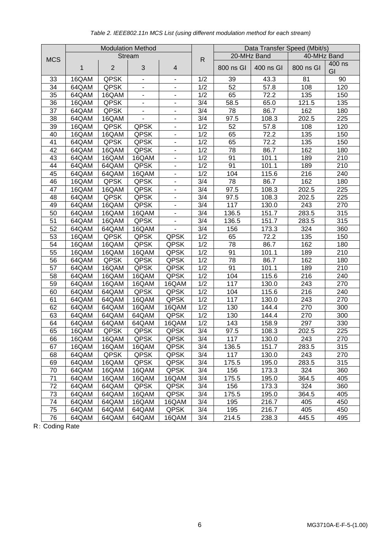|            | <b>Modulation Method</b> |                |                |                          |                             |           | Data Transfer Speed (Mbit/s) |             |              |  |
|------------|--------------------------|----------------|----------------|--------------------------|-----------------------------|-----------|------------------------------|-------------|--------------|--|
| <b>MCS</b> |                          |                | <b>Stream</b>  |                          | 20-MHz Band<br>$\mathsf{R}$ |           |                              | 40-MHz Band |              |  |
|            | 1                        | $\overline{2}$ | 3              | $\overline{4}$           |                             | 800 ns GI | 400 ns GI                    | 800 ns GI   | 400 ns<br>GI |  |
| 33         | 16QAM                    | <b>QPSK</b>    | $\blacksquare$ | $\blacksquare$           | 1/2                         | 39        | 43.3                         | 81          | 90           |  |
| 34         | 64QAM                    | <b>QPSK</b>    | ۰              | $\blacksquare$           | 1/2                         | 52        | 57.8                         | 108         | 120          |  |
| 35         | 64QAM                    | 16QAM          | ۰              | $\overline{\phantom{a}}$ | 1/2                         | 65        | 72.2                         | 135         | 150          |  |
| 36         | 16QAM                    | <b>QPSK</b>    | ۰              | $\blacksquare$           | 3/4                         | 58.5      | 65.0                         | 121.5       | 135          |  |
| 37         | 64QAM                    | <b>QPSK</b>    | ۰              | $\overline{\phantom{a}}$ | 3/4                         | 78        | 86.7                         | 162         | 180          |  |
| 38         | 64QAM                    | 16QAM          |                | $\blacksquare$           | 3/4                         | 97.5      | 108.3                        | 202.5       | 225          |  |
| 39         | 16QAM                    | <b>QPSK</b>    | <b>QPSK</b>    | $\overline{\phantom{a}}$ | 1/2                         | 52        | 57.8                         | 108         | 120          |  |
| 40         | 16QAM                    | 16QAM          | <b>QPSK</b>    | $\blacksquare$           | 1/2                         | 65        | 72.2                         | 135         | 150          |  |
| 41         | 64QAM                    | QPSK           | <b>QPSK</b>    | $\blacksquare$           | 1/2                         | 65        | 72.2                         | 135         | 150          |  |
| 42         | 64QAM                    | 16QAM          | <b>QPSK</b>    | $\overline{\phantom{a}}$ | 1/2                         | 78        | 86.7                         | 162         | 180          |  |
| 43         | 64QAM                    | 16QAM          | 16QAM          | $\blacksquare$           | 1/2                         | 91        | 101.1                        | 189         | 210          |  |
| 44         | 64QAM                    | 64QAM          | <b>QPSK</b>    | $\overline{\phantom{a}}$ | 1/2                         | 91        | 101.1                        | 189         | 210          |  |
| 45         | 64QAM                    | 64QAM          | 16QAM          | $\blacksquare$           | 1/2                         | 104       | 115.6                        | 216         | 240          |  |
| 46         | 16QAM                    | QPSK           | <b>QPSK</b>    | $\blacksquare$           | 3/4                         | 78        | 86.7                         | 162         | 180          |  |
| 47         | 16QAM                    | 16QAM          | <b>QPSK</b>    | $\overline{\phantom{a}}$ | 3/4                         | 97.5      | 108.3                        | 202.5       | 225          |  |
| 48         | 64QAM                    | <b>QPSK</b>    | <b>QPSK</b>    | $\blacksquare$           | 3/4                         | 97.5      | 108.3                        | 202.5       | 225          |  |
| 49         | 64QAM                    | 16QAM          | <b>QPSK</b>    | $\overline{\phantom{a}}$ | 3/4                         | 117       | 130.0                        | 243         | 270          |  |
| 50         | 64QAM                    | 16QAM          | 16QAM          | $\blacksquare$           | 3/4                         | 136.5     | 151.7                        | 283.5       | 315          |  |
| 51         | 64QAM                    | 16QAM          | <b>QPSK</b>    | $\overline{\phantom{a}}$ | 3/4                         | 136.5     | 151.7                        | 283.5       | 315          |  |
| 52         | 64QAM                    | 64QAM          | 16QAM          |                          | 3/4                         | 156       | 173.3                        | 324         | 360          |  |
| 53         | 16QAM                    | QPSK           | <b>QPSK</b>    | <b>QPSK</b>              | 1/2                         | 65        | 72.2                         | 135         | 150          |  |
| 54         | 16QAM                    | 16QAM          | <b>QPSK</b>    | <b>QPSK</b>              | 1/2                         | 78        | 86.7                         | 162         | 180          |  |
| 55         | 16QAM                    | 16QAM          | 16QAM          | <b>QPSK</b>              | 1/2                         | 91        | 101.1                        | 189         | 210          |  |
| 56         | 64QAM                    | QPSK           | <b>QPSK</b>    | <b>QPSK</b>              | 1/2                         | 78        | 86.7                         | 162         | 180          |  |
| 57         | 64QAM                    | 16QAM          | <b>QPSK</b>    | <b>QPSK</b>              | 1/2                         | 91        | 101.1                        | 189         | 210          |  |
| 58         | 64QAM                    | 16QAM          | 16QAM          | <b>QPSK</b>              | 1/2                         | 104       | 115.6                        | 216         | 240          |  |
| 59         | 64QAM                    | 16QAM          | 16QAM          | 16QAM                    | 1/2                         | 117       | 130.0                        | 243         | 270          |  |
| 60         | 64QAM                    | 64QAM          | <b>QPSK</b>    | <b>QPSK</b>              | 1/2                         | 104       | 115.6                        | 216         | 240          |  |
| 61         | 64QAM                    | 64QAM          | 16QAM          | <b>QPSK</b>              | 1/2                         | 117       | 130.0                        | 243         | 270          |  |
| 62         | 64QAM                    | 64QAM          | 16QAM          | 16QAM                    | 1/2                         | 130       | 144.4                        | 270         | 300          |  |
| 63         | 64QAM                    | 64QAM          | 64QAM          | <b>QPSK</b>              | 1/2                         | 130       | 144.4                        | 270         | 300          |  |
| 64         | 64QAM                    | 64QAM          | 64QAM          | 16QAM                    | 1/2                         | 143       | 158.9                        | 297         | 330          |  |
| 65         | 16QAM                    | QPSK           | QPSK           | <b>QPSK</b>              | 3/4                         | 97.5      | 108.3                        | 202.5       | 225          |  |
| 66         | 16QAM                    | 16QAM          | <b>QPSK</b>    | <b>QPSK</b>              | 3/4                         | 117       | 130.0                        | 243         | 270          |  |
| 67         | 16QAM                    | 16QAM          | 16QAM          | <b>QPSK</b>              | 3/4                         | 136.5     | 151.7                        | 283.5       | 315          |  |
| 68         | 64QAM                    | <b>QPSK</b>    | <b>QPSK</b>    | <b>QPSK</b>              | 3/4                         | 117       | 130.0                        | 243         | 270          |  |
| 69         | 64QAM                    | 16QAM          | <b>QPSK</b>    | <b>QPSK</b>              | 3/4                         | 175.5     | 195.0                        | 283.5       | 315          |  |
| 70         | 64QAM                    | 16QAM          | 16QAM          | <b>QPSK</b>              | 3/4                         | 156       | 173.3                        | 324         | 360          |  |
| 71         | 64QAM                    | 16QAM          | 16QAM          | 16QAM                    | 3/4                         | 175.5     | 195.0                        | 364.5       | 405          |  |
| 72         | 64QAM                    | 64QAM          | <b>QPSK</b>    | <b>QPSK</b>              | 3/4                         | 156       | 173.3                        | 324         | 360          |  |
| 73         | 64QAM                    | 64QAM          | 16QAM          | <b>QPSK</b>              | 3/4                         | 175.5     | 195.0                        | 364.5       | 405          |  |
| 74         | 64QAM                    | 64QAM          | 16QAM          | 16QAM                    | 3/4                         | 195       | 216.7                        | 405         | 450          |  |
| 75         | 64QAM                    | 64QAM          | 64QAM          | <b>QPSK</b>              | 3/4                         | 195       | 216.7                        | 405         | 450          |  |
| 76         | 64QAM                    | 64QAM          | 64QAM          | 16QAM                    | 3/4                         | 214.5     | 238.3                        | 445.5       | 495          |  |

## *Table 2. IEEE802.11n MCS List (using different modulation method for each stream)*

R: Coding Rate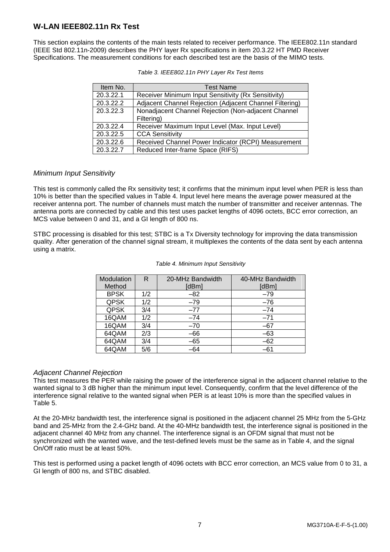## <span id="page-7-0"></span>**W-LAN IEEE802.11n Rx Test**

This section explains the contents of the main tests related to receiver performance. The IEEE802.11n standard (IEEE Std 802.11n-2009) describes the PHY layer Rx specifications in item 20.3.22 HT PMD Receiver Specifications. The measurement conditions for each described test are the basis of the MIMO tests.

| Item No.  | <b>Test Name</b>                                        |
|-----------|---------------------------------------------------------|
| 20.3.22.1 | Receiver Minimum Input Sensitivity (Rx Sensitivity)     |
| 20.3.22.2 | Adjacent Channel Rejection (Adjacent Channel Filtering) |
| 20.3.22.3 | Nonadjacent Channel Rejection (Non-adjacent Channel     |
|           | Filtering)                                              |
| 20.3.22.4 | Receiver Maximum Input Level (Max. Input Level)         |
| 20.3.22.5 | <b>CCA Sensitivity</b>                                  |
| 20.3.22.6 | Received Channel Power Indicator (RCPI) Measurement     |
| 20.3.22.7 | Reduced Inter-frame Space (RIFS)                        |

| Table 3. IEEE802.11n PHY Layer Rx Test Items |  |  |
|----------------------------------------------|--|--|

## <span id="page-7-1"></span>*Minimum Input Sensitivity*

This test is commonly called the Rx sensitivity test; it confirms that the minimum input level when PER is less than 10% is better than the specified values in Table 4. Input level here means the average power measured at the receiver antenna port. The number of channels must match the number of transmitter and receiver antennas. The antenna ports are connected by cable and this test uses packet lengths of 4096 octets, BCC error correction, an MCS value between 0 and 31, and a GI length of 800 ns.

STBC processing is disabled for this test; STBC is a Tx Diversity technology for improving the data transmission quality. After generation of the channel signal stream, it multiplexes the contents of the data sent by each antenna using a matrix.

| Modulation<br>Method | R   | 20-MHz Bandwidth<br>[dBm] | 40-MHz Bandwidth<br>[dBm] |
|----------------------|-----|---------------------------|---------------------------|
| <b>BPSK</b>          | 1/2 | $-82$                     | $-79$                     |
| <b>QPSK</b>          | 1/2 | $-79$                     | $-76$                     |
| <b>QPSK</b>          | 3/4 | $-77$                     | $-74$                     |
| 16QAM                | 1/2 | $-74$                     | $-71$                     |
| 16QAM                | 3/4 | $-70$                     | $-67$                     |
| 64QAM                | 2/3 | $-66$                     | $-63$                     |
| 64QAM                | 3/4 | $-65$                     | $-62$                     |
| 64QAM                | 5/6 | $-64$                     | -61                       |

#### *Table 4. Minimum Input Sensitivity*

## <span id="page-7-2"></span>*Adjacent Channel Rejection*

This test measures the PER while raising the power of the interference signal in the adjacent channel relative to the wanted signal to 3 dB higher than the minimum input level. Consequently, confirm that the level difference of the interference signal relative to the wanted signal when PER is at least 10% is more than the specified values in Table 5.

At the 20-MHz bandwidth test, the interference signal is positioned in the adjacent channel 25 MHz from the 5-GHz band and 25-MHz from the 2.4-GHz band. At the 40-MHz bandwidth test, the interference signal is positioned in the adjacent channel 40 MHz from any channel. The interference signal is an OFDM signal that must not be synchronized with the wanted wave, and the test-defined levels must be the same as in Table 4, and the signal On/Off ratio must be at least 50%.

This test is performed using a packet length of 4096 octets with BCC error correction, an MCS value from 0 to 31, a GI length of 800 ns, and STBC disabled.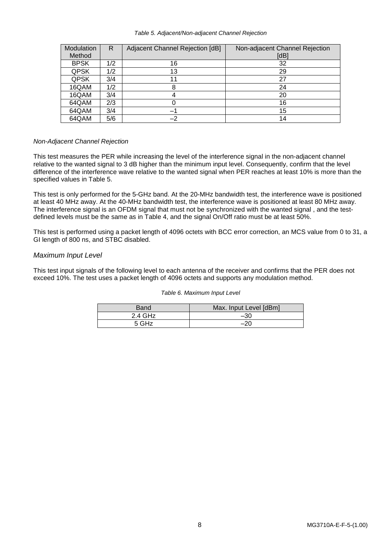#### *Table 5. Adjacent/Non-adjacent Channel Rejection*

| Modulation  | R   | Adjacent Channel Rejection [dB] | Non-adjacent Channel Rejection |
|-------------|-----|---------------------------------|--------------------------------|
| Method      |     |                                 | [dB]                           |
| <b>BPSK</b> | 1/2 | 16                              | 32                             |
| <b>QPSK</b> | 1/2 | 13                              | 29                             |
| <b>QPSK</b> | 3/4 | 11                              | 27                             |
| 16QAM       | 1/2 |                                 | 24                             |
| 16QAM       | 3/4 |                                 | 20                             |
| 64QAM       | 2/3 |                                 | 16                             |
| 64QAM       | 3/4 |                                 | 15                             |
| 64QAM       | 5/6 | $-2$                            | 14                             |

### *Non-Adjacent Channel Rejection*

This test measures the PER while increasing the level of the interference signal in the non-adjacent channel relative to the wanted signal to 3 dB higher than the minimum input level. Consequently, confirm that the level difference of the interference wave relative to the wanted signal when PER reaches at least 10% is more than the specified values in Table 5.

This test is only performed for the 5-GHz band. At the 20-MHz bandwidth test, the interference wave is positioned at least 40 MHz away. At the 40-MHz bandwidth test, the interference wave is positioned at least 80 MHz away. The interference signal is an OFDM signal that must not be synchronized with the wanted signal , and the testdefined levels must be the same as in Table 4, and the signal On/Off ratio must be at least 50%.

This test is performed using a packet length of 4096 octets with BCC error correction, an MCS value from 0 to 31, a GI length of 800 ns, and STBC disabled.

## <span id="page-8-0"></span>*Maximum Input Level*

This test input signals of the following level to each antenna of the receiver and confirms that the PER does not exceed 10%. The test uses a packet length of 4096 octets and supports any modulation method.

| Table 6. Maximum Input Level |
|------------------------------|
|------------------------------|

| Band      | Max. Input Level [dBm] |
|-----------|------------------------|
| $2.4$ GHz | $-30$                  |
| 5 GHz     | $-20$                  |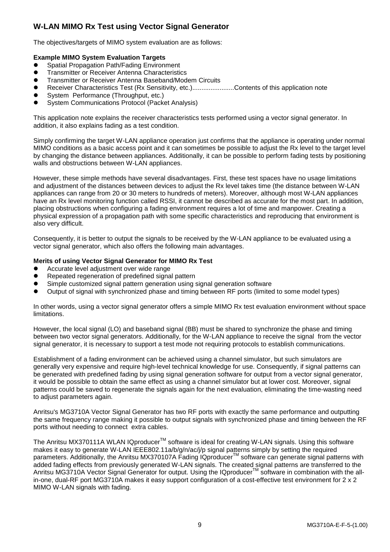## <span id="page-9-0"></span>**W-LAN MIMO Rx Test using Vector Signal Generator**

The objectives/targets of MIMO system evaluation are as follows:

## **Example MIMO System Evaluation Targets**

- Spatial Propagation Path/Fading Environment
- Transmitter or Receiver Antenna Characteristics
- Transmitter or Receiver Antenna Baseband/Modem Circuits
- Receiver Characteristics Test (Rx Sensitivity, etc.).......................Contents of this application note
- System Performance (Throughput, etc.)
- System Communications Protocol (Packet Analysis)

This application note explains the receiver characteristics tests performed using a vector signal generator. In addition, it also explains fading as a test condition.

Simply confirming the target W-LAN appliance operation just confirms that the appliance is operating under normal MIMO conditions as a basic access point and it can sometimes be possible to adjust the Rx level to the target level by changing the distance between appliances. Additionally, it can be possible to perform fading tests by positioning walls and obstructions between W-LAN appliances.

However, these simple methods have several disadvantages. First, these test spaces have no usage limitations and adjustment of the distances between devices to adjust the Rx level takes time (the distance between W-LAN appliances can range from 20 or 30 meters to hundreds of meters). Moreover, although most W-LAN appliances have an Rx level monitoring function called RSSI, it cannot be described as accurate for the most part. In addition, placing obstructions when configuring a fading environment requires a lot of time and manpower. Creating a physical expression of a propagation path with some specific characteristics and reproducing that environment is also very difficult.

Consequently, it is better to output the signals to be received by the W-LAN appliance to be evaluated using a vector signal generator, which also offers the following main advantages.

### **Merits of using Vector Signal Generator for MIMO Rx Test**

- Accurate level adjustment over wide range
- Repeated regeneration of predefined signal pattern
- Simple customized signal pattern generation using signal generation software
- Output of signal with synchronized phase and timing between RF ports (limited to some model types)

In other words, using a vector signal generator offers a simple MIMO Rx test evaluation environment without space limitations.

However, the local signal (LO) and baseband signal (BB) must be shared to synchronize the phase and timing between two vector signal generators. Additionally, for the W-LAN appliance to receive the signal from the vector signal generator, it is necessary to support a test mode not requiring protocols to establish communications.

Establishment of a fading environment can be achieved using a channel simulator, but such simulators are generally very expensive and require high-level technical knowledge for use. Consequently, if signal patterns can be generated with predefined fading by using signal generation software for output from a vector signal generator, it would be possible to obtain the same effect as using a channel simulator but at lower cost. Moreover, signal patterns could be saved to regenerate the signals again for the next evaluation, eliminating the time-wasting need to adjust parameters again.

Anritsu's MG3710A Vector Signal Generator has two RF ports with exactly the same performance and outputting the same frequency range making it possible to output signals with synchronized phase and timing between the RF ports without needing to connect extra cables.

The Anritsu MX370111A WLAN IQproducer™ software is ideal for creating W-LAN signals. Using this software makes it easy to generate W-LAN IEEE802.11a/b/g/n/ac/j/p signal patterns simply by setting the required parameters. Additionally, the Anritsu MX370107A Fading IQproducer™ software can generate signal patterns with added fading effects from previously generated W-LAN signals. The created signal patterns are transferred to the Anritsu MG3710A Vector Signal Generator for output. Using the IQproducer™ software in combination with the allin-one, dual-RF port MG3710A makes it easy support configuration of a cost-effective test environment for 2 x 2 MIMO W-LAN signals with fading.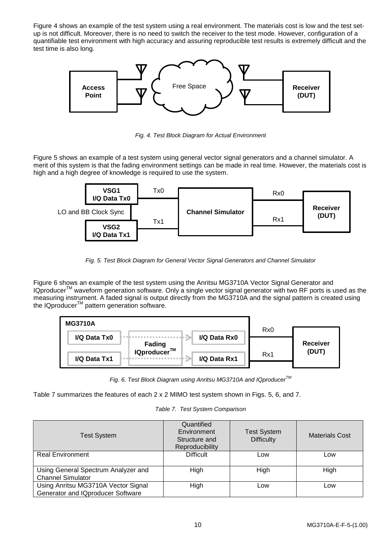Figure 4 shows an example of the test system using a real environment. The materials cost is low and the test setup is not difficult. Moreover, there is no need to switch the receiver to the test mode. However, configuration of a quantifiable test environment with high accuracy and assuring reproducible test results is extremely difficult and the test time is also long.



*Fig. 4. Test Block Diagram for Actual Environment*

Figure 5 shows an example of a test system using general vector signal generators and a channel simulator. A merit of this system is that the fading environment settings can be made in real time. However, the materials cost is high and a high degree of knowledge is required to use the system.



*Fig. 5. Test Block Diagram for General Vector Signal Generators and Channel Simulator*

Figure 6 shows an example of the test system using the Anritsu MG3710A Vector Signal Generator and IQproducer™ waveform generation software. Only a single vector signal generator with two RF ports is used as the measuring instrument. A faded signal is output directly from the MG3710A and the signal pattern is created using the IQproducer™ pattern generation software.



*Fig. 6. Test Block Diagram using Anritsu MG3710A and IQproducerTM*

Table 7 summarizes the features of each 2 x 2 MIMO test system shown in Figs. 5, 6, and 7.

*Table 7. Test System Comparison*

| <b>Test System</b>                                                       | Quantified<br>Environment<br>Structure and<br>Reproducibility | <b>Test System</b><br><b>Difficulty</b> | <b>Materials Cost</b> |
|--------------------------------------------------------------------------|---------------------------------------------------------------|-----------------------------------------|-----------------------|
| <b>Real Environment</b>                                                  | <b>Difficult</b>                                              | Low                                     | Low                   |
| Using General Spectrum Analyzer and<br><b>Channel Simulator</b>          | High                                                          | High                                    | High                  |
| Using Anritsu MG3710A Vector Signal<br>Generator and IQproducer Software | High                                                          | Low                                     | Low                   |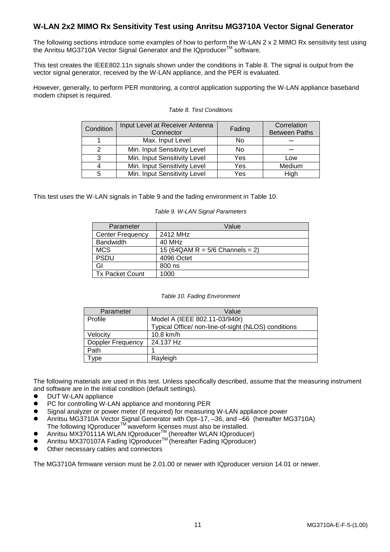## <span id="page-11-0"></span>**W-LAN 2x2 MIMO Rx Sensitivity Test using Anritsu MG3710A Vector Signal Generator**

The following sections introduce some examples of how to perform the W-LAN 2 x 2 MIMO Rx sensitivity test using the Anritsu MG3710A Vector Signal Generator and the IQproducer<sup>™</sup> software.

This test creates the IEEE802.11n signals shown under the conditions in Table 8. The signal is output from the vector signal generator, received by the W-LAN appliance, and the PER is evaluated.

However, generally, to perform PER monitoring, a control application supporting the W-LAN appliance baseband modem chipset is required.

| Condition | Input Level at Receiver Antenna<br>Connector | Fading | Correlation<br><b>Between Paths</b> |
|-----------|----------------------------------------------|--------|-------------------------------------|
|           | Max. Input Level                             | No     |                                     |
| 2         | Min. Input Sensitivity Level                 | No     |                                     |
| 3         | Min. Input Sensitivity Level                 | Yes    | Low                                 |
|           | Min. Input Sensitivity Level                 | Yes    | Medium                              |
| 5         | Min. Input Sensitivity Level                 | Yes    | High                                |

#### *Table 8. Test Conditions*

This test uses the W-LAN signals in Table 9 and the fading environment in Table 10.

#### *Table 9. W-LAN Signal Parameters*

| Parameter               | Value                             |
|-------------------------|-----------------------------------|
| <b>Center Frequency</b> | 2412 MH <sub>7</sub>              |
| <b>Bandwidth</b>        | 40 MHz                            |
| <b>MCS</b>              | 15 (64QAM R = $5/6$ Channels = 2) |
| <b>PSDU</b>             | 4096 Octet                        |
| GI                      | 800 ns                            |
| <b>Tx Packet Count</b>  | 1000                              |

#### *Table 10. Fading Environment*

| Parameter                | Value                                               |
|--------------------------|-----------------------------------------------------|
| Profile                  | Model A (IEEE 802.11-03/940r)                       |
|                          | Typical Office/ non-line-of-sight (NLOS) conditions |
| Velocity                 | 10.8 km/h                                           |
| <b>Doppler Frequency</b> | 24.137 Hz                                           |
| Path                     |                                                     |
| vpe                      | Rayleigh                                            |

The following materials are used in this test. Unless specifically described, assume that the measuring instrument and software are in the initial condition (default settings).

- DUT W-LAN appliance
- PC for controlling W-LAN appliance and monitoring PER
- Signal analyzer or power meter (if required) for measuring W-LAN appliance power
- Anritsu MG3710A Vector Signal Generator with Opt–17, –36, and –66 (hereafter MG3710A) The following IQproducer $^{TM}$  waveform licenses must also be installed.
- Anritsu MX370111A WLAN IQproducer<sup>™</sup> (hereafter WLAN IQproducer)
- Anritsu MX370107A Fading IQproducer<sup>TM</sup> (hereafter Fading IQproducer)
- Other necessary cables and connectors

The MG3710A firmware version must be 2.01.00 or newer with IQproducer version 14.01 or newer.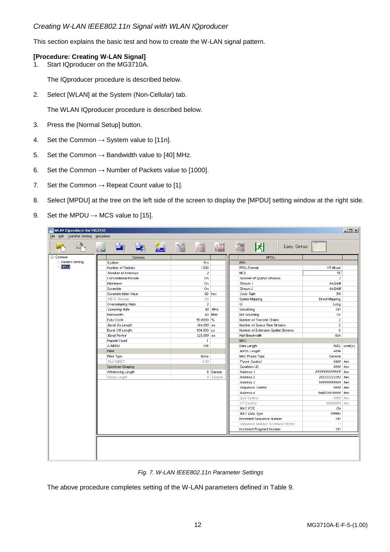## <span id="page-12-0"></span>*Creating W-LAN IEEE802.11n Signal with WLAN IQproducer*

This section explains the basic test and how to create the W-LAN signal pattern.

## **[Procedure: Creating W-LAN Signal]**

1. Start IQproducer on the MG3710A.

The IQproducer procedure is described below.

2. Select [WLAN] at the System (Non-Cellular) tab.

The WLAN IQproducer procedure is described below.

- 3. Press the [Normal Setup] button.
- 4. Set the Common  $\rightarrow$  System value to [11n].
- 5. Set the Common  $\rightarrow$  Bandwidth value to [40] MHz.
- 6. Set the Common  $\rightarrow$  Number of Packets value to [1000].
- 7. Set the Common  $\rightarrow$  Repeat Count value to [1].
- 8. Select [MPDU] at the tree on the left side of the screen to display the [MPDU] setting window at the right side.
- 9. Set the MPDU  $\rightarrow$  MCS value to [15].

| $\Box$<br>WLAN IQproducer for MG3710  |   |                        |                               |             |            |                |            |                          |                                     |            |                                |                 |
|---------------------------------------|---|------------------------|-------------------------------|-------------|------------|----------------|------------|--------------------------|-------------------------------------|------------|--------------------------------|-----------------|
| File Edit Transfer Setting Simulation |   |                        |                               |             |            |                |            |                          |                                     |            |                                |                 |
|                                       | W | <u>M</u>               | $\frac{M_{\odot}}{M_{\odot}}$ | <b>ALC:</b> | $\sqrt{2}$ |                | AW         | <b>Clipping</b>          | 冈                                   | Easy Setup |                                |                 |
| 日· Common                             |   |                        | Common                        |             |            |                |            |                          | <b>MPDU</b>                         |            |                                |                 |
| Pattern Setting                       |   | System                 |                               |             |            | 11n            |            | <b>PHY</b>               |                                     |            |                                |                 |
| MPDU                                  |   | Number of Packets      |                               |             |            | 1000           |            | PPDU Format              |                                     |            | HT Mixed                       |                 |
|                                       |   | Number of Antennas     |                               |             |            | $\hat{z}$      |            | <b>MCS</b>               |                                     |            | 15                             |                 |
|                                       |   | Convolutional Encode   |                               |             |            | On.            |            |                          | Number of Spatial Streams           |            | $\tilde{z}$                    |                 |
|                                       |   | Interleave             |                               |             |            | On.            |            | Stream 1                 |                                     |            | 64QAM                          |                 |
|                                       |   | Scramble               |                               |             |            | On             |            | Stream 2                 |                                     |            | 64QAM                          |                 |
|                                       |   | Scramble Initial Value |                               |             |            |                | 5D hex     | Code Rate                |                                     |            | 5/6                            |                 |
|                                       |   | PBCC Encode            |                               |             |            | On             |            |                          | Spatial Mapping                     |            | Direct Mapping                 |                 |
|                                       |   | Oversampling Ratio     |                               |             |            | $\overline{2}$ |            | GI                       |                                     |            | Long                           |                 |
|                                       |   | Sampling Rate          |                               |             |            |                | $80$ $MHz$ | Smoothing                |                                     |            | Off                            |                 |
|                                       |   | Bandwidth              |                               |             |            |                | 40 MHz     | Not Sounding             |                                     |            | On.                            |                 |
|                                       |   | Duty Cycle             |                               |             |            | 50.0000 %      |            |                          | Number of Transmit Chains           |            | $\overline{2}$                 |                 |
|                                       |   | <b>Burst On Length</b> |                               |             |            | $164.000$ us   |            |                          | Number of Space Time Streams        |            | $\overline{2}$                 |                 |
|                                       |   | Burst Off Length       |                               |             |            | 164.000 us     |            |                          | Number of Extension Spatial Streams |            | $\mathbf{0}$                   |                 |
|                                       |   | <b>Burst Period</b>    |                               |             |            | 328.000 us     |            |                          | Half Bandwidth                      |            | N/A                            |                 |
|                                       |   | Repeat Count           |                               |             |            | $\overline{1}$ |            | MAC.                     |                                     |            |                                |                 |
|                                       |   | A-MPDU                 |                               |             |            | Off            |            | Data Length              |                                     |            |                                | $4062$ octet(s) |
|                                       |   | Filter                 |                               |             |            |                |            | <b>MPDU Length</b>       |                                     |            | 4096                           |                 |
|                                       |   | Filter Type            |                               |             |            | None           |            |                          | MAC Frame Type                      |            | General                        |                 |
|                                       |   | Roll OffBT             |                               |             |            | 0.50           |            |                          | Frame Control                       |            | 0800 hex                       |                 |
|                                       |   | Spectrum Shaping       |                               |             |            |                |            | Duration / ID            |                                     |            | 0000 hex                       |                 |
|                                       |   | Windowing Length       |                               |             |            |                | 8 Sample   | Address 1                |                                     |            | FFFFFFFFFFFF hex               |                 |
|                                       |   | Ramp Length            |                               |             |            |                | 8 Sample   | Address 2<br>Address 3   |                                     |            | 202222222202 hex               |                 |
|                                       |   |                        |                               |             |            |                |            |                          | Sequence Control                    |            | 505555555505 hex<br>0000 hex   |                 |
|                                       |   |                        |                               |             |            |                |            |                          |                                     |            |                                |                 |
|                                       |   |                        |                               |             |            |                |            | Address 4<br>QoS Control |                                     |            | 644D20030000 hex<br>0000   hex |                 |
|                                       |   |                        |                               |             |            |                |            | HT Control               |                                     |            | 00000000 hex                   |                 |
|                                       |   |                        |                               |             |            |                |            | MAC FCS                  |                                     |            | Оn                             |                 |
|                                       |   |                        |                               |             |            |                |            |                          | MAC Data Type                       |            | PN9fix                         |                 |
|                                       |   |                        |                               |             |            |                |            |                          | Increment Sequence Number           |            | Off                            |                 |
|                                       |   |                        |                               |             |            |                |            |                          | Sequence Number Increment Period    |            | $\mathcal{F}$                  |                 |
|                                       |   |                        |                               |             |            |                |            |                          | Increment Fragment Number           |            | Off                            |                 |
|                                       |   |                        |                               |             |            |                |            |                          |                                     |            |                                |                 |
|                                       |   |                        |                               |             |            |                |            |                          |                                     |            |                                |                 |
|                                       |   |                        |                               |             |            |                |            |                          |                                     |            |                                |                 |
|                                       |   |                        |                               |             |            |                |            |                          |                                     |            |                                |                 |



The above procedure completes setting of the W-LAN parameters defined in Table 9.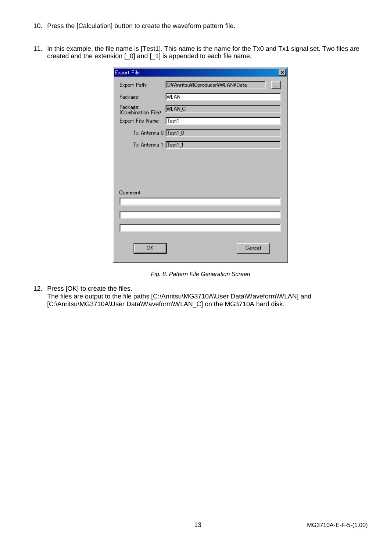- 10. Press the [Calculation] button to create the waveform pattern file.
- 11. In this example, the file name is [Test1]. This name is the name for the Tx0 and Tx1 signal set. Two files are created and the extension [\_0] and [\_1] is appended to each file name.

| <b>Export File</b>             | $\vert x \vert$                                   |
|--------------------------------|---------------------------------------------------|
| Export Path:                   | C:¥Anritsu¥IQproducer¥WLAN¥Data<br>$\overline{a}$ |
| Package:                       | WLAN                                              |
| Package:<br>(Combination File) | WLAN <sub>_C</sub>                                |
| Export File Name:              | Test1                                             |
| Tx Antenna 0: Test1_0          |                                                   |
| Tx Antenna 1: Test1_1          |                                                   |
|                                |                                                   |
|                                |                                                   |
|                                |                                                   |
|                                |                                                   |
| Comment:                       |                                                   |
|                                |                                                   |
|                                |                                                   |
|                                |                                                   |
|                                |                                                   |
| ОК                             | Cancel                                            |
|                                |                                                   |

*Fig. 8. Pattern File Generation Screen*

12. Press [OK] to create the files.

The files are output to the file paths [C:\Anritsu\MG3710A\User Data\Waveform\WLAN] and [C:\Anritsu\MG3710A\User Data\Waveform\WLAN\_C] on the MG3710A hard disk.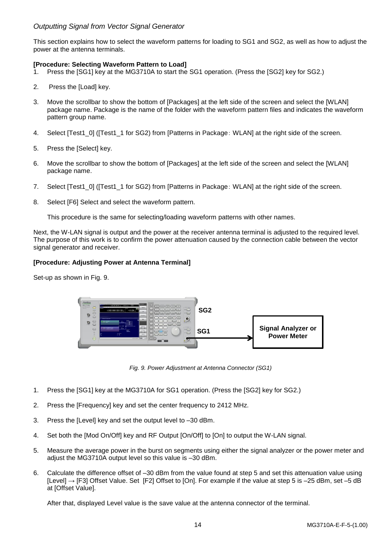## <span id="page-14-0"></span>*Outputting Signal from Vector Signal Generator*

This section explains how to select the waveform patterns for loading to SG1 and SG2, as well as how to adjust the power at the antenna terminals.

## **[Procedure: Selecting Waveform Pattern to Load]**

- 1. Press the [SG1] key at the MG3710A to start the SG1 operation. (Press the [SG2] key for SG2.)
- 2. Press the [Load] key.
- 3. Move the scrollbar to show the bottom of [Packages] at the left side of the screen and select the [WLAN] package name. Package is the name of the folder with the waveform pattern files and indicates the waveform pattern group name.
- 4. Select [Test1\_0] ([Test1\_1 for SG2) from [Patterns in Package: WLAN] at the right side of the screen.
- 5. Press the [Select] key.
- 6. Move the scrollbar to show the bottom of [Packages] at the left side of the screen and select the [WLAN] package name.
- 7. Select [Test1\_0] ([Test1\_1 for SG2) from [Patterns in Package: WLAN] at the right side of the screen.
- 8. Select [F6] Select and select the waveform pattern.

This procedure is the same for selecting/loading waveform patterns with other names.

Next, the W-LAN signal is output and the power at the receiver antenna terminal is adjusted to the required level. The purpose of this work is to confirm the power attenuation caused by the connection cable between the vector signal generator and receiver.

## **[Procedure: Adjusting Power at Antenna Terminal]**

Set-up as shown in Fig. 9.



*Fig. 9. Power Adjustment at Antenna Connector (SG1)*

- 1. Press the [SG1] key at the MG3710A for SG1 operation. (Press the [SG2] key for SG2.)
- 2. Press the [Frequency] key and set the center frequency to 2412 MHz.
- 3. Press the [Level] key and set the output level to –30 dBm.
- 4. Set both the [Mod On/Off] key and RF Output [On/Off] to [On] to output the W-LAN signal.
- 5. Measure the average power in the burst on segments using either the signal analyzer or the power meter and adjust the MG3710A output level so this value is –30 dBm.
- 6. Calculate the difference offset of –30 dBm from the value found at step 5 and set this attenuation value using [Level] → [F3] Offset Value. Set [F2] Offset to [On]. For example if the value at step 5 is –25 dBm, set –5 dB at [Offset Value].

After that, displayed Level value is the save value at the antenna connector of the terminal.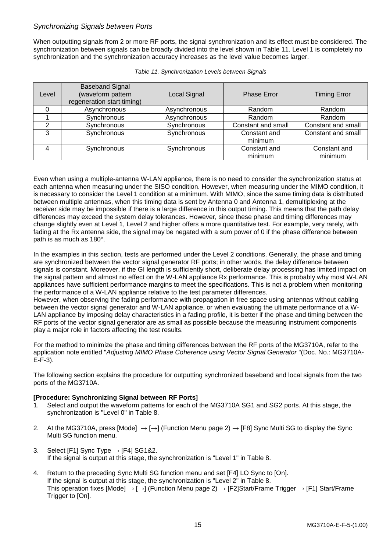## <span id="page-15-0"></span>*Synchronizing Signals between Ports*

When outputting signals from 2 or more RF ports, the signal synchronization and its effect must be considered. The synchronization between signals can be broadly divided into the level shown in Table 11. Level 1 is completely no synchronization and the synchronization accuracy increases as the level value becomes larger.

| Level | <b>Baseband Signal</b><br>(waveform pattern<br>regeneration start timing) | Local Signal | <b>Phase Error</b>      | <b>Timing Error</b>     |
|-------|---------------------------------------------------------------------------|--------------|-------------------------|-------------------------|
|       | Asynchronous                                                              | Asynchronous | Random                  | Random                  |
|       | Synchronous                                                               | Asynchronous | Random                  | Random                  |
|       | Synchronous                                                               | Synchronous  | Constant and small      | Constant and small      |
| ີ     | Synchronous                                                               | Synchronous  | Constant and<br>minimum | Constant and small      |
|       | Synchronous                                                               | Synchronous  | Constant and<br>minimum | Constant and<br>minimum |

| Table 11. Synchronization Levels between Signals |  |  |
|--------------------------------------------------|--|--|
|                                                  |  |  |

Even when using a multiple-antenna W-LAN appliance, there is no need to consider the synchronization status at each antenna when measuring under the SISO condition. However, when measuring under the MIMO condition, it is necessary to consider the Level 1 condition at a minimum. With MIMO, since the same timing data is distributed between multiple antennas, when this timing data is sent by Antenna 0 and Antenna 1, demultiplexing at the receiver side may be impossible if there is a large difference in this output timing. This means that the path delay differences may exceed the system delay tolerances. However, since these phase and timing differences may change slightly even at Level 1, Level 2 and higher offers a more quantitative test. For example, very rarely, with fading at the Rx antenna side, the signal may be negated with a sum power of 0 if the phase difference between path is as much as 180°.

In the examples in this section, tests are performed under the Level 2 conditions. Generally, the phase and timing are synchronized between the vector signal generator RF ports; in other words, the delay difference between signals is constant. Moreover, if the GI length is sufficiently short, deliberate delay processing has limited impact on the signal pattern and almost no effect on the W-LAN appliance Rx performance. This is probably why most W-LAN appliances have sufficient performance margins to meet the specifications. This is not a problem when monitoring the performance of a W-LAN appliance relative to the test parameter differences.

However, when observing the fading performance with propagation in free space using antennas without cabling between the vector signal generator and W-LAN appliance, or when evaluating the ultimate performance of a W-LAN appliance by imposing delay characteristics in a fading profile, it is better if the phase and timing between the RF ports of the vector signal generator are as small as possible because the measuring instrument components play a major role in factors affecting the test results.

For the method to minimize the phase and timing differences between the RF ports of the MG3710A, refer to the application note entitled "*Adjusting MIMO Phase Coherence using Vector Signal Generator* "(Doc. No.: MG3710A-E-F-3).

The following section explains the procedure for outputting synchronized baseband and local signals from the two ports of the MG3710A.

## **[Procedure: Synchronizing Signal between RF Ports]**

- 1. Select and output the waveform patterns for each of the MG3710A SG1 and SG2 ports. At this stage, the synchronization is "Level 0" in Table 8.
- 2. At the MG3710A, press [Mode]  $\rightarrow$  [ $\rightarrow$ ] (Function Menu page 2)  $\rightarrow$  [F8] Sync Multi SG to display the Sync Multi SG function menu.
- 3. Select [F1] Sync Type  $\rightarrow$  [F4] SG1&2. If the signal is output at this stage, the synchronization is "Level 1" in Table 8.
- 4. Return to the preceding Sync Multi SG function menu and set [F4] LO Sync to [On]. If the signal is output at this stage, the synchronization is "Level 2" in Table 8. This operation fixes [Mode]  $\rightarrow$  [ $\rightarrow$ ] (Function Menu page 2)  $\rightarrow$  [F2]Start/Frame Trigger  $\rightarrow$  [F1] Start/Frame Trigger to [On].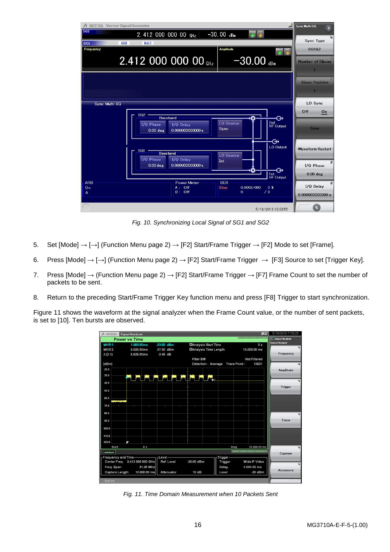

*Fig. 10. Synchronizing Local Signal of SG1 and SG2*

- 5. Set [Mode]  $\rightarrow$  [ $\rightarrow$ ] (Function Menu page 2)  $\rightarrow$  [F2] Start/Frame Trigger  $\rightarrow$  [F2] Mode to set [Frame].
- 6. Press [Mode]  $\rightarrow$  [ $\rightarrow$ ] (Function Menu page 2)  $\rightarrow$  [F2] Start/Frame Trigger  $\rightarrow$  [F3] Source to set [Trigger Key].
- 7. Press [Mode]  $\rightarrow$  (Function Menu page 2)  $\rightarrow$  [F2] Start/Frame Trigger  $\rightarrow$  [F7] Frame Count to set the number of packets to be sent.
- 8. Return to the preceding Start/Frame Trigger Key function menu and press [F8] Trigger to start synchronization.

Figure 11 shows the waveform at the signal analyzer when the Frame Count value, or the number of sent packets, is set to [10]. Ten bursts are observed.



*Fig. 11. Time Domain Measurement when 10 Packets Sent*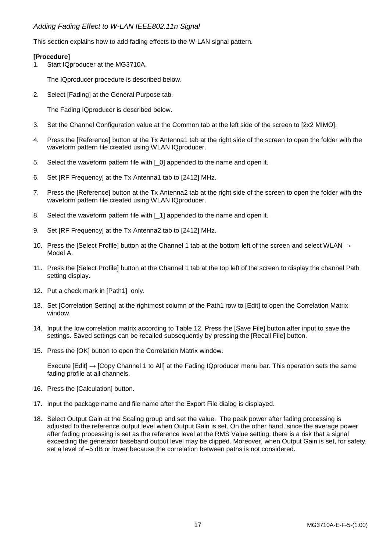## <span id="page-17-0"></span>*Adding Fading Effect to W-LAN IEEE802.11n Signal*

This section explains how to add fading effects to the W-LAN signal pattern.

## **[Procedure]**

1. Start IQproducer at the MG3710A.

The IQproducer procedure is described below.

2. Select [Fading] at the General Purpose tab.

The Fading IQproducer is described below.

- 3. Set the Channel Configuration value at the Common tab at the left side of the screen to [2x2 MIMO].
- 4. Press the [Reference] button at the Tx Antenna1 tab at the right side of the screen to open the folder with the waveform pattern file created using WLAN IQproducer.
- 5. Select the waveform pattern file with [0] appended to the name and open it.
- 6. Set [RF Frequency] at the Tx Antenna1 tab to [2412] MHz.
- 7. Press the [Reference] button at the Tx Antenna2 tab at the right side of the screen to open the folder with the waveform pattern file created using WLAN IQproducer.
- 8. Select the waveform pattern file with [1] appended to the name and open it.
- 9. Set [RF Frequency] at the Tx Antenna2 tab to [2412] MHz.
- 10. Press the [Select Profile] button at the Channel 1 tab at the bottom left of the screen and select WLAN  $\rightarrow$ Model A.
- 11. Press the [Select Profile] button at the Channel 1 tab at the top left of the screen to display the channel Path setting display.
- 12. Put a check mark in [Path1] only.
- 13. Set [Correlation Setting] at the rightmost column of the Path1 row to [Edit] to open the Correlation Matrix window.
- 14. Input the low correlation matrix according to Table 12. Press the [Save File] button after input to save the settings. Saved settings can be recalled subsequently by pressing the [Recall File] button.
- 15. Press the [OK] button to open the Correlation Matrix window.

Execute [Edit] → [Copy Channel 1 to All] at the Fading IQproducer menu bar. This operation sets the same fading profile at all channels.

- 16. Press the [Calculation] button.
- 17. Input the package name and file name after the Export File dialog is displayed.
- 18. Select Output Gain at the Scaling group and set the value. The peak power after fading processing is adjusted to the reference output level when Output Gain is set. On the other hand, since the average power after fading processing is set as the reference level at the RMS Value setting, there is a risk that a signal exceeding the generator baseband output level may be clipped. Moreover, when Output Gain is set, for safety, set a level of –5 dB or lower because the correlation between paths is not considered.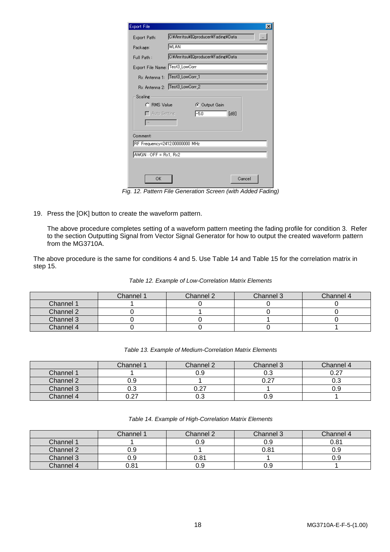| <b>Export File</b>              | $\times$                                            |  |  |  |  |
|---------------------------------|-----------------------------------------------------|--|--|--|--|
| Export Path:                    | C:¥Anritsu¥IQproducer¥Fading¥Data<br>$\overline{a}$ |  |  |  |  |
| Package:                        | WLAN                                                |  |  |  |  |
| Full Path:                      | C:¥Anritsu¥IQproducer¥Fading¥Data                   |  |  |  |  |
| Export File Name: Test3_LowCorr |                                                     |  |  |  |  |
|                                 | Rx Antenna 1: Test3_LowCorr_1                       |  |  |  |  |
|                                 | Rx Antenna 2: Test3_LowCorr_2                       |  |  |  |  |
| Scaling                         |                                                     |  |  |  |  |
| C. RMS Value                    | C Output Gain                                       |  |  |  |  |
| $\Box$ Auto Setting             | $-5.0$<br>[dB]                                      |  |  |  |  |
|                                 |                                                     |  |  |  |  |
| Comment:                        |                                                     |  |  |  |  |
| RF Frequency=2412.00000000 MHz  |                                                     |  |  |  |  |
| $AMGN:OFF = Rx1, Rx2$           |                                                     |  |  |  |  |
|                                 |                                                     |  |  |  |  |
|                                 |                                                     |  |  |  |  |
| OK                              | Cancel                                              |  |  |  |  |

*Fig. 12. Pattern File Generation Screen (with Added Fading)*

19. Press the [OK] button to create the waveform pattern.

The above procedure completes setting of a waveform pattern meeting the fading profile for condition 3. Refer to the section Outputting Signal from Vector Signal Generator for how to output the created waveform pattern from the MG3710A.

The above procedure is the same for conditions 4 and 5. Use Table 14 and Table 15 for the correlation matrix in step 15.

|           | Channel 1 | Channel 2 | Channel 3 | Channel 4 |
|-----------|-----------|-----------|-----------|-----------|
| Channel 1 |           |           |           |           |
| Channel 2 |           |           |           |           |
| Channel 3 |           |           |           |           |
| Channel 4 |           |           |           |           |

|  | Table 12. Example of Low-Correlation Matrix Elements |  |
|--|------------------------------------------------------|--|
|  |                                                      |  |

|           | Channel 1    | Channel 2     | Channel 3                    | Channel 4 |
|-----------|--------------|---------------|------------------------------|-----------|
| Channel 1 |              | บ.ษ           | 0.3                          |           |
| Channel 2 | ບ.ວ          |               | בה ה<br>$\cup$ . $\subset$ . | v.c       |
| Channel 3 | υ.υ          | $\sim$ $\sim$ |                              | 0.9       |
| Channel 4 | 77 ،<br>U.Z1 | v.J           | 0.9                          |           |

|           | Channel 1 | Channel 2 | Channel 3 | Channel 4 |
|-----------|-----------|-----------|-----------|-----------|
| Channel 1 |           | 0.9       | 0.9       | 0.81      |
| Channel 2 | U.Y       |           | 0.81      | บ.ย       |
| Channel 3 | u.y       | 0.81      |           | บ.ย       |
| Channel 4 | 0.81      | ე.9       | 0.9       |           |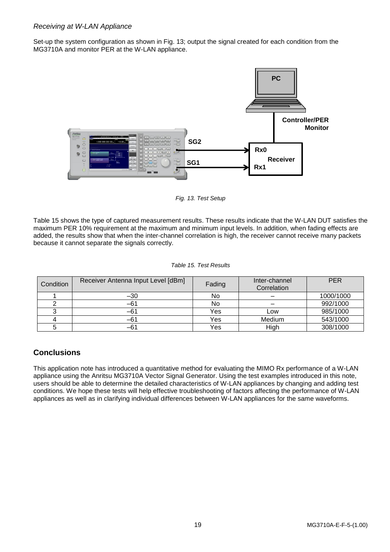## <span id="page-19-0"></span>*Receiving at W-LAN Appliance*

Set-up the system configuration as shown in Fig. 13; output the signal created for each condition from the MG3710A and monitor PER at the W-LAN appliance.



*Fig. 13. Test Setup*

Table 15 shows the type of captured measurement results. These results indicate that the W-LAN DUT satisfies the maximum PER 10% requirement at the maximum and minimum input levels. In addition, when fading effects are added, the results show that when the inter-channel correlation is high, the receiver cannot receive many packets because it cannot separate the signals correctly.

#### *Table 15. Test Results*

| Condition | Receiver Antenna Input Level [dBm] | Fading | Inter-channel<br>Correlation | <b>PER</b> |
|-----------|------------------------------------|--------|------------------------------|------------|
|           | $-30$                              | No     |                              | 1000/1000  |
|           | -61                                | No     |                              | 992/1000   |
|           | -61                                | Yes    | Low                          | 985/1000   |
|           | -61                                | Yes    | Medium                       | 543/1000   |
|           | -61                                | Yes    | High                         | 308/1000   |

## <span id="page-19-1"></span>**Conclusions**

This application note has introduced a quantitative method for evaluating the MIMO Rx performance of a W-LAN appliance using the Anritsu MG3710A Vector Signal Generator. Using the test examples introduced in this note, users should be able to determine the detailed characteristics of W-LAN appliances by changing and adding test conditions. We hope these tests will help effective troubleshooting of factors affecting the performance of W-LAN appliances as well as in clarifying individual differences between W-LAN appliances for the same waveforms.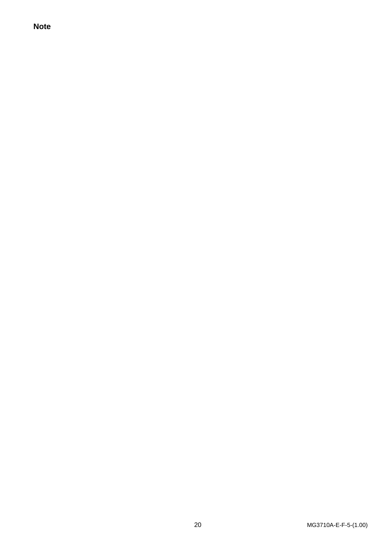**Note**